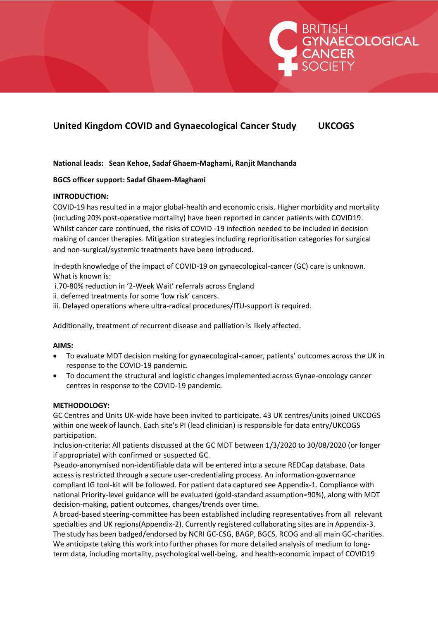# **United Kingdom COVID and Gynaecological Cancer Study UKCOGS**

RITISH<br>YNAECOLOGICAL<br>ANCER

**National leads: Sean Kehoe, Sadaf Ghaem-Maghami, Ranjit Manchanda**

## **BGCS officer support: Sadaf Ghaem-Maghami**

### **INTRODUCTION:**

COVID-19 has resulted in a major global-health and economic crisis. Higher morbidity and mortality (including 20% post-operative mortality) have been reported in cancer patients with COVID19. Whilst cancer care continued, the risks of COVID -19 infection needed to be included in decision making of cancer therapies. Mitigation strategies including reprioritisation categories for surgical and non-surgical/systemic treatments have been introduced.

In-depth knowledge of the impact of COVID-19 on gynaecological-cancer (GC) care is unknown. What is known is:

i.70-80% reduction in '2-Week Wait' referrals across England

ii. deferred treatments for some 'low risk' cancers.

iii. Delayed operations where ultra-radical procedures/ITU-support is required.

Additionally, treatment of recurrent disease and palliation is likely affected.

#### **AIMS:**

- To evaluate MDT decision making for gynaecological-cancer, patients' outcomes across the UK in response to the COVID-19 pandemic.
- To document the structural and logistic changes implemented across Gynae-oncology cancer centres in response to the COVID-19 pandemic.

#### **METHODOLOGY:**

GC Centres and Units UK-wide have been invited to participate. 43 UK centres/units joined UKCOGS within one week of launch. Each site's PI (lead clinician) is responsible for data entry/UKCOGS participation.

Inclusion-criteria: All patients discussed at the GC MDT between 1/3/2020 to 30/08/2020 (or longer if appropriate) with confirmed or suspected GC.

Pseudo-anonymised non-identifiable data will be entered into a secure REDCap database. Data access is restricted through a secure user-credentialing process. An information-governance compliant IG tool-kit will be followed. For patient data captured see Appendix-1. Compliance with national Priority-level guidance will be evaluated (gold-standard assumption=90%), along with MDT decision-making, patient outcomes, changes/trends over time.

A broad-based steering-committee has been established including representatives from all relevant specialties and UK regions(Appendix-2). Currently registered collaborating sites are in Appendix-3. The study has been badged/endorsed by NCRI GC-CSG, BAGP, BGCS, RCOG and all main GC-charities. We anticipate taking this work into further phases for more detailed analysis of medium to longterm data, including mortality, psychological well-being, and health-economic impact of COVID19